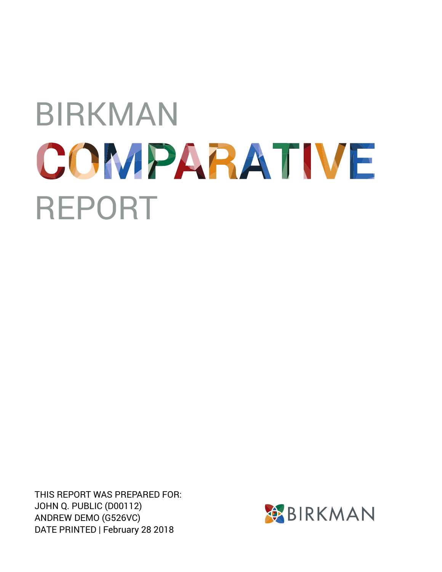THIS REPORT WAS PREPARED FOR: JOHN Q. PUBLIC (D00112) ANDREW DEMO (G526VC) DATE PRINTED | February 28 2018

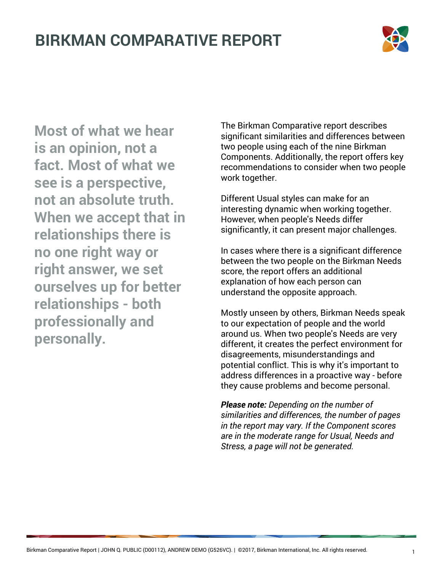

**Most of what we hear is an opinion, not a fact. Most of what we see is a perspective, not an absolute truth. When we accept that in relationships there is no one right way or right answer, we set ourselves up for better relationships - both professionally and personally.**

The Birkman Comparative report describes significant similarities and differences between two people using each of the nine Birkman Components. Additionally, the report offers key recommendations to consider when two people work together.

Different Usual styles can make for an interesting dynamic when working together. However, when people's Needs differ significantly, it can present major challenges.

In cases where there is a significant difference between the two people on the Birkman Needs score, the report offers an additional explanation of how each person can understand the opposite approach.

Mostly unseen by others, Birkman Needs speak to our expectation of people and the world around us. When two people's Needs are very different, it creates the perfect environment for disagreements, misunderstandings and potential conflict. This is why it's important to address differences in a proactive way - before they cause problems and become personal.

*Please note: Depending on the number of similarities and differences, the number of pages in the report may vary. If the Component scores are in the moderate range for Usual, Needs and Stress, a page will not be generated.*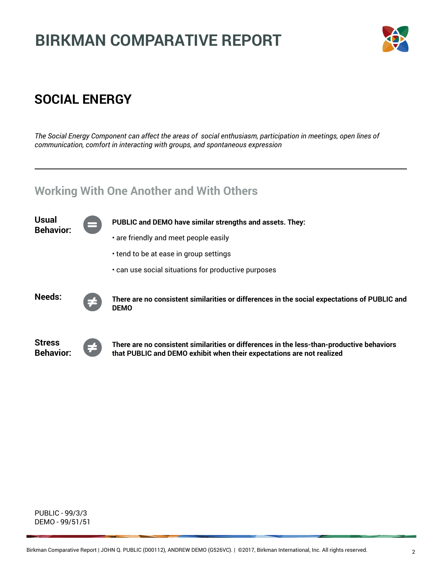

### **SOCIAL ENERGY**

*The Social Energy Component can affect the areas of social enthusiasm, participation in meetings, open lines of communication, comfort in interacting with groups, and spontaneous expression*

### **Working With One Another and With Others**



PUBLIC - 99/3/3 DEMO - 99/51/51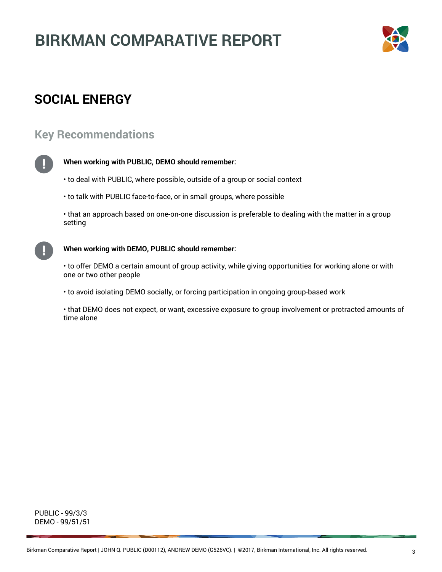

### **SOCIAL ENERGY**

#### **Key Recommendations**



#### **When working with PUBLIC, DEMO should remember:**

- to deal with PUBLIC, where possible, outside of a group or social context
- to talk with PUBLIC face-to-face, or in small groups, where possible

• that an approach based on one-on-one discussion is preferable to dealing with the matter in a group setting



#### **When working with DEMO, PUBLIC should remember:**

• to offer DEMO a certain amount of group activity, while giving opportunities for working alone or with one or two other people

- to avoid isolating DEMO socially, or forcing participation in ongoing group-based work
- that DEMO does not expect, or want, excessive exposure to group involvement or protracted amounts of time alone

PUBLIC - 99/3/3 DEMO - 99/51/51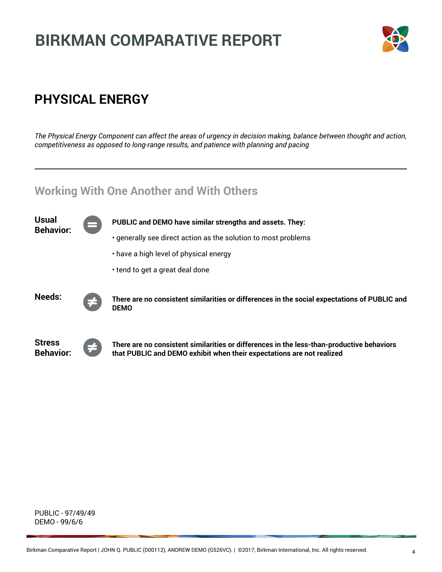

### **PHYSICAL ENERGY**

*The Physical Energy Component can affect the areas of urgency in decision making, balance between thought and action, competitiveness as opposed to long-range results, and patience with planning and pacing*

### **Working With One Another and With Others**



PUBLIC - 97/49/49 DEMO - 99/6/6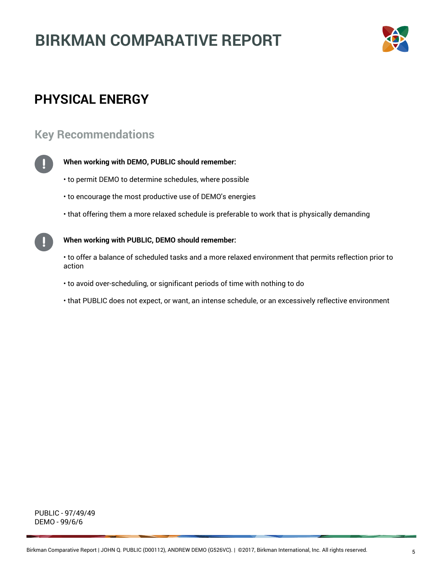

### **PHYSICAL ENERGY**

#### **Key Recommendations**



#### **When working with DEMO, PUBLIC should remember:**

- to permit DEMO to determine schedules, where possible
- to encourage the most productive use of DEMO's energies
- that offering them a more relaxed schedule is preferable to work that is physically demanding

**When working with PUBLIC, DEMO should remember:**

• to offer a balance of scheduled tasks and a more relaxed environment that permits reflection prior to action

- to avoid over-scheduling, or significant periods of time with nothing to do
- that PUBLIC does not expect, or want, an intense schedule, or an excessively reflective environment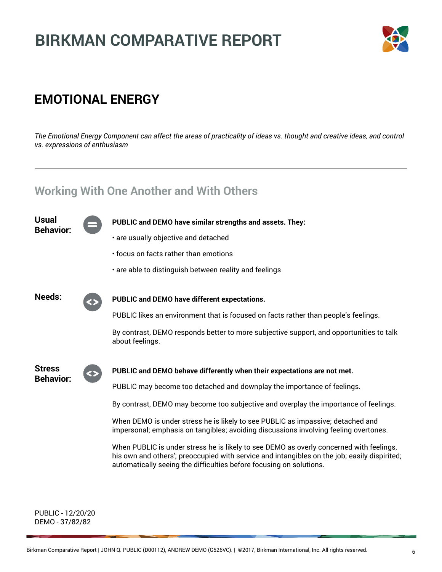

### **EMOTIONAL ENERGY**

*The Emotional Energy Component can affect the areas of practicality of ideas vs. thought and creative ideas, and control vs. expressions of enthusiasm*

**PUBLIC and DEMO have similar strengths and assets. They:**

### **Working With One Another and With Others**

**Usual Behavior:**



PUBLIC likes an environment that is focused on facts rather than people's feelings.

By contrast, DEMO responds better to more subjective support, and opportunities to talk about feelings.



#### **PUBLIC and DEMO behave differently when their expectations are not met.**

PUBLIC may become too detached and downplay the importance of feelings.

By contrast, DEMO may become too subjective and overplay the importance of feelings.

When DEMO is under stress he is likely to see PUBLIC as impassive; detached and impersonal; emphasis on tangibles; avoiding discussions involving feeling overtones.

When PUBLIC is under stress he is likely to see DEMO as overly concerned with feelings, his own and others'; preoccupied with service and intangibles on the job; easily dispirited; automatically seeing the difficulties before focusing on solutions.

PUBLIC - 12/20/20 DEMO - 37/82/82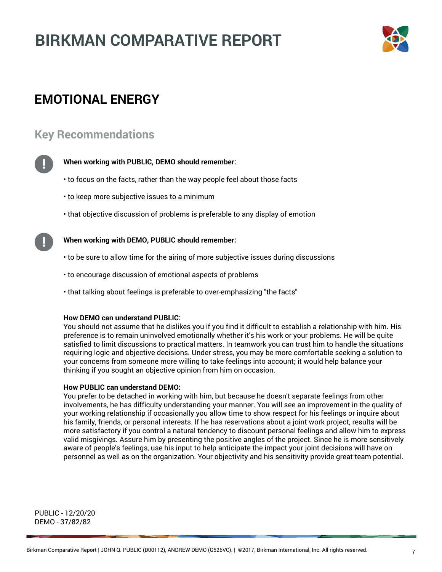

### **EMOTIONAL ENERGY**

#### **Key Recommendations**



#### **When working with PUBLIC, DEMO should remember:**

- to focus on the facts, rather than the way people feel about those facts
- to keep more subjective issues to a minimum
- that objective discussion of problems is preferable to any display of emotion

#### **When working with DEMO, PUBLIC should remember:**

- to be sure to allow time for the airing of more subjective issues during discussions
- to encourage discussion of emotional aspects of problems
- that talking about feelings is preferable to over-emphasizing "the facts"

#### **How DEMO can understand PUBLIC:**

You should not assume that he dislikes you if you find it difficult to establish a relationship with him. His preference is to remain uninvolved emotionally whether it's his work or your problems. He will be quite satisfied to limit discussions to practical matters. In teamwork you can trust him to handle the situations requiring logic and objective decisions. Under stress, you may be more comfortable seeking a solution to your concerns from someone more willing to take feelings into account; it would help balance your thinking if you sought an objective opinion from him on occasion.

#### **How PUBLIC can understand DEMO:**

You prefer to be detached in working with him, but because he doesn't separate feelings from other involvements, he has difficulty understanding your manner. You will see an improvement in the quality of your working relationship if occasionally you allow time to show respect for his feelings or inquire about his family, friends, or personal interests. If he has reservations about a joint work project, results will be more satisfactory if you control a natural tendency to discount personal feelings and allow him to express valid misgivings. Assure him by presenting the positive angles of the project. Since he is more sensitively aware of people's feelings, use his input to help anticipate the impact your joint decisions will have on personnel as well as on the organization. Your objectivity and his sensitivity provide great team potential.

PUBLIC - 12/20/20 DEMO - 37/82/82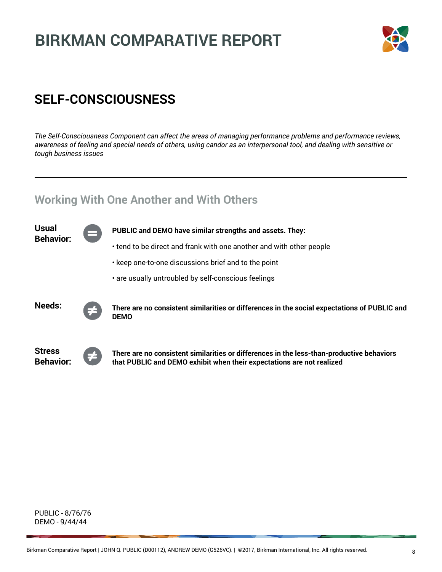

### **SELF-CONSCIOUSNESS**

*The Self-Consciousness Component can affect the areas of managing performance problems and performance reviews, awareness of feeling and special needs of others, using candor as an interpersonal tool, and dealing with sensitive or tough business issues*

### **Working With One Another and With Others**

| Usual<br><b>Behavior:</b>         | ═ | PUBLIC and DEMO have similar strengths and assets. They:                                                                                                           |
|-----------------------------------|---|--------------------------------------------------------------------------------------------------------------------------------------------------------------------|
|                                   |   | • tend to be direct and frank with one another and with other people                                                                                               |
|                                   |   | • keep one-to-one discussions brief and to the point                                                                                                               |
|                                   |   | . are usually untroubled by self-conscious feelings                                                                                                                |
| Needs:                            | 手 | There are no consistent similarities or differences in the social expectations of PUBLIC and<br><b>DEMO</b>                                                        |
| <b>Stress</b><br><b>Behavior:</b> | ≠ | There are no consistent similarities or differences in the less-than-productive behaviors<br>that PUBLIC and DEMO exhibit when their expectations are not realized |

PUBLIC - 8/76/76 DEMO - 9/44/44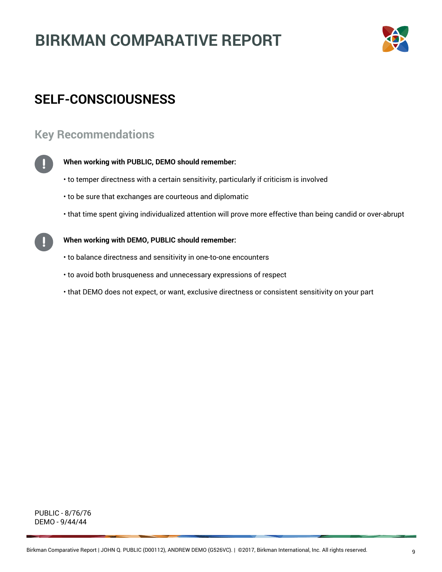

### **SELF-CONSCIOUSNESS**

#### **Key Recommendations**



#### **When working with PUBLIC, DEMO should remember:**

- to temper directness with a certain sensitivity, particularly if criticism is involved
- to be sure that exchanges are courteous and diplomatic
- that time spent giving individualized attention will prove more effective than being candid or over-abrupt

#### **When working with DEMO, PUBLIC should remember:**

- to balance directness and sensitivity in one-to-one encounters
- to avoid both brusqueness and unnecessary expressions of respect
- that DEMO does not expect, or want, exclusive directness or consistent sensitivity on your part

PUBLIC - 8/76/76 DEMO - 9/44/44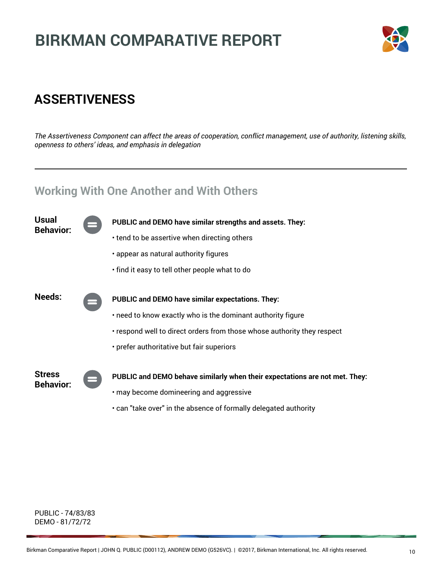

### **ASSERTIVENESS**

*The Assertiveness Component can affect the areas of cooperation, conflict management, use of authority, listening skills, openness to others' ideas, and emphasis in delegation*

### **Working With One Another and With Others**



PUBLIC - 74/83/83 DEMO - 81/72/72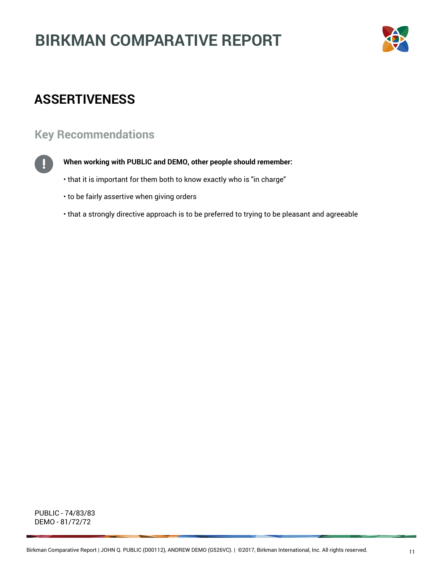

### **ASSERTIVENESS**

#### **Key Recommendations**



#### **When working with PUBLIC and DEMO, other people should remember:**

- that it is important for them both to know exactly who is "in charge"
- to be fairly assertive when giving orders
- that a strongly directive approach is to be preferred to trying to be pleasant and agreeable

PUBLIC - 74/83/83 DEMO - 81/72/72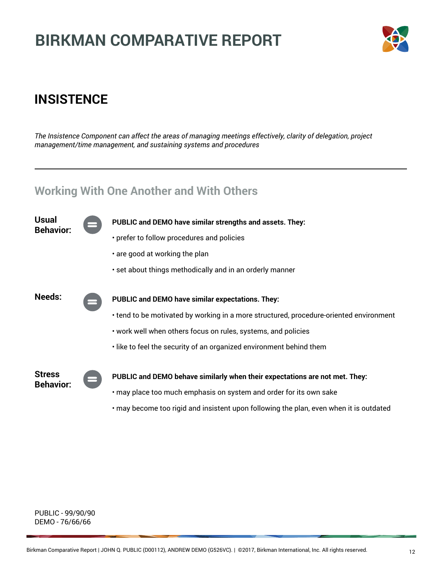

### **INSISTENCE**

*The Insistence Component can affect the areas of managing meetings effectively, clarity of delegation, project management/time management, and sustaining systems and procedures*

#### **Working With One Another and With Others**



PUBLIC - 99/90/90 DEMO - 76/66/66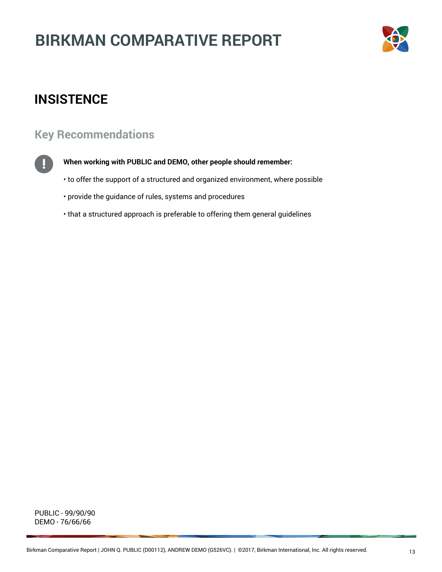

### **INSISTENCE**

### **Key Recommendations**



**When working with PUBLIC and DEMO, other people should remember:**

- to offer the support of a structured and organized environment, where possible
- provide the guidance of rules, systems and procedures
- that a structured approach is preferable to offering them general guidelines

PUBLIC - 99/90/90 DEMO - 76/66/66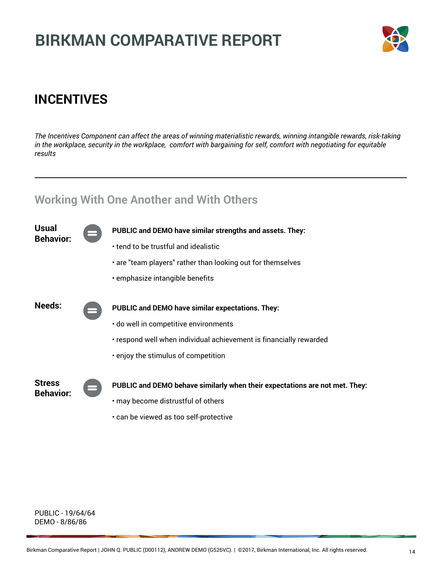

### **INCENTIVES**

*The Incentives Component can affect the areas of winning materialistic rewards, winning intangible rewards, risk-taking in the workplace, security in the workplace, comfort with bargaining for self, comfort with negotiating for equitable results*

### **Working With One Another and With Others**

| Usual<br><b>Behavior:</b>         |          | PUBLIC and DEMO have similar strengths and assets. They:                    |
|-----------------------------------|----------|-----------------------------------------------------------------------------|
|                                   |          | • tend to be trustful and idealistic                                        |
|                                   |          | • are "team players" rather than looking out for themselves                 |
|                                   |          | emphasize intangible benefits                                               |
|                                   |          |                                                                             |
| Needs:                            | $\equiv$ | <b>PUBLIC and DEMO have similar expectations. They:</b>                     |
|                                   |          | · do well in competitive environments                                       |
|                                   |          | • respond well when individual achievement is financially rewarded          |
|                                   |          | . enjoy the stimulus of competition                                         |
|                                   |          |                                                                             |
| <b>Stress</b><br><b>Behavior:</b> |          | PUBLIC and DEMO behave similarly when their expectations are not met. They: |
|                                   |          | • may become distrustful of others                                          |
|                                   |          | . can be viewed as too self-protective                                      |

PUBLIC - 19/64/64 DEMO - 8/86/86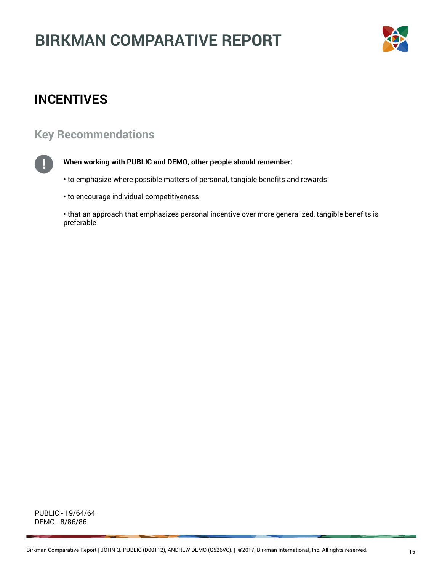

### **INCENTIVES**

### **Key Recommendations**



#### **When working with PUBLIC and DEMO, other people should remember:**

• to emphasize where possible matters of personal, tangible benefits and rewards

• to encourage individual competitiveness

• that an approach that emphasizes personal incentive over more generalized, tangible benefits is preferable

PUBLIC - 19/64/64 DEMO - 8/86/86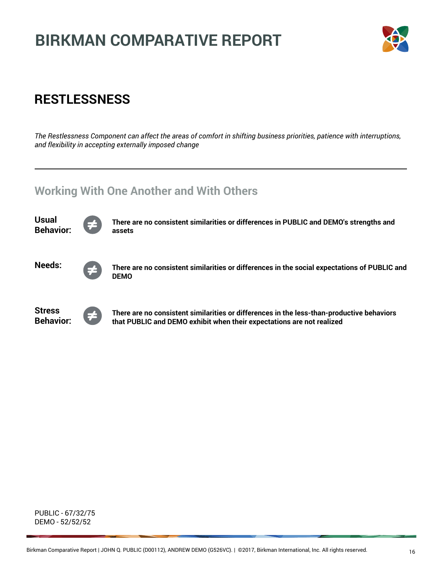

### **RESTLESSNESS**

*The Restlessness Component can affect the areas of comfort in shifting business priorities, patience with interruptions, and flexibility in accepting externally imposed change*

### **Working With One Another and With Others**



PUBLIC - 67/32/75 DEMO - 52/52/52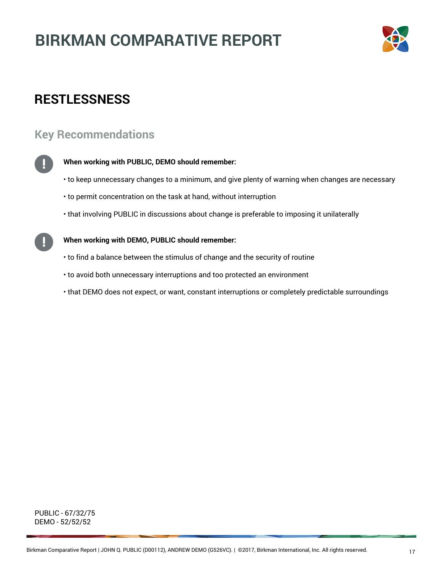

### **RESTLESSNESS**

#### **Key Recommendations**



#### **When working with PUBLIC, DEMO should remember:**

- to keep unnecessary changes to a minimum, and give plenty of warning when changes are necessary
- to permit concentration on the task at hand, without interruption
- that involving PUBLIC in discussions about change is preferable to imposing it unilaterally

#### **When working with DEMO, PUBLIC should remember:**

- to find a balance between the stimulus of change and the security of routine
- to avoid both unnecessary interruptions and too protected an environment
- that DEMO does not expect, or want, constant interruptions or completely predictable surroundings

PUBLIC - 67/32/75 DEMO - 52/52/52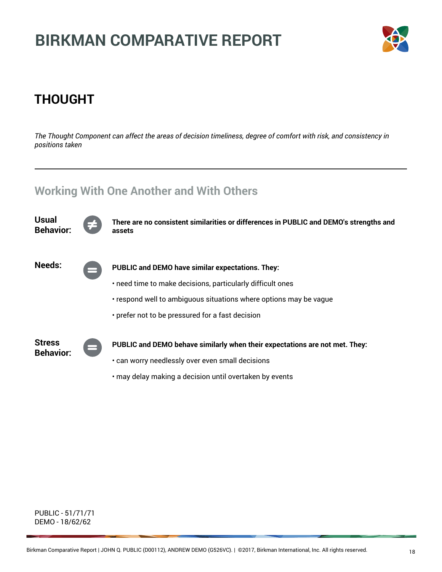

### **THOUGHT**

*The Thought Component can affect the areas of decision timeliness, degree of comfort with risk, and consistency in positions taken*

### **Working With One Another and With Others**



PUBLIC - 51/71/71 DEMO - 18/62/62